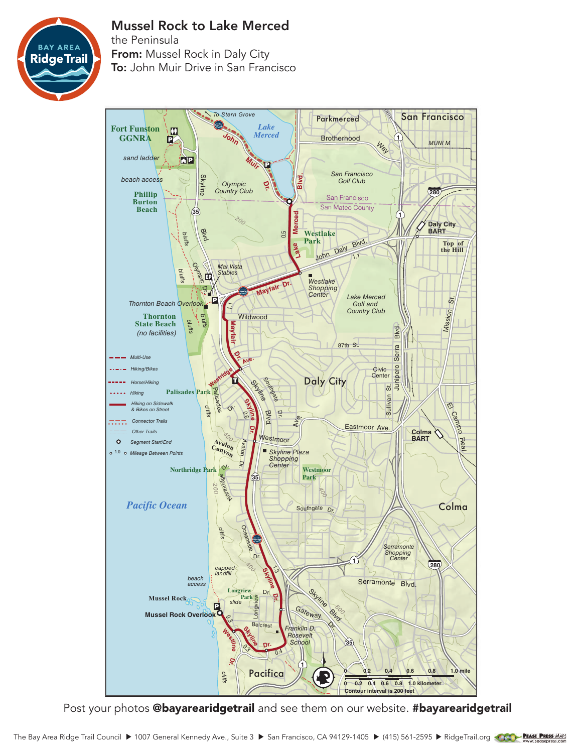

## Mussel Rock to Lake Merced

the Peninsula From: Mussel Rock in Daly City To: John Muir Drive in San Francisco



Post your photos @bayarearidgetrail and see them on our website. #bayarearidgetrail